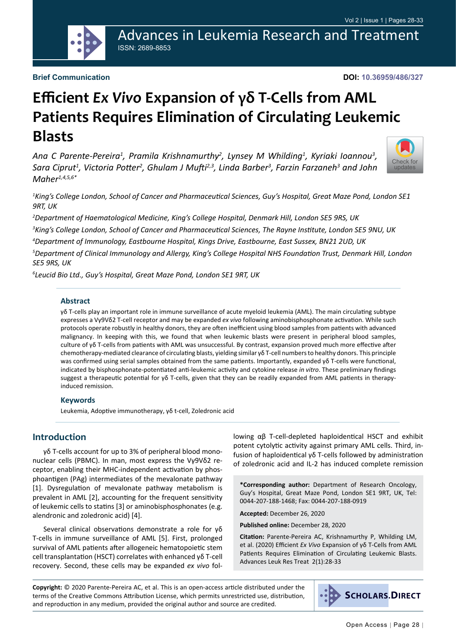Advances in Leukemia Research and Treatment ISSN: 2689-8853

#### **Brief Communication**

**DOI: 10.36959/486/327**

# **Efficient** *Ex Vivo* **Expansion of γδ T-Cells from AML Patients Requires Elimination of Circulating Leukemic Blasts**

Ana C Parente-Pereira<sup>1</sup>, Pramila Krishnamurthy<sup>2</sup>, Lynsey M Whilding<sup>1</sup>, Kyriaki Ioannou<sup>3</sup>, *Sara Ciprut1 , Victoria Potter<sup>2</sup> , Ghulam J Mufti2,3, Linda Barber3 , Farzin Farzaneh3 and John Maher1,4,5,6\**



*1 King's College London, School of Cancer and Pharmaceutical Sciences, Guy's Hospital, Great Maze Pond, London SE1 9RT, UK*

 *Department of Haematological Medicine, King's College Hospital, Denmark Hill, London SE5 9RS, UK King's College London, School of Cancer and Pharmaceutical Sciences, The Rayne Institute, London SE5 9NU, UK Department of Immunology, Eastbourne Hospital, Kings Drive, Eastbourne, East Sussex, BN21 2UD, UK Department of Clinical Immunology and Allergy, King's College Hospital NHS Foundation Trust, Denmark Hill, London SE5 9RS, UK*

*6 Leucid Bio Ltd., Guy's Hospital, Great Maze Pond, London SE1 9RT, UK*

#### **Abstract**

γδ T-cells play an important role in immune surveillance of acute myeloid leukemia (AML). The main circulating subtype expresses a Vγ9Vδ2 T-cell receptor and may be expanded *ex vivo* following aminobisphosphonate activation. While such protocols operate robustly in healthy donors, they are often inefficient using blood samples from patients with advanced malignancy. In keeping with this, we found that when leukemic blasts were present in peripheral blood samples, culture of γδ T-cells from patients with AML was unsuccessful. By contrast, expansion proved much more effective after chemotherapy-mediated clearance of circulating blasts, yielding similar γδ T-cell numbers to healthy donors. This principle was confirmed using serial samples obtained from the same patients. Importantly, expanded γδ T-cells were functional, indicated by bisphosphonate-potentiated anti-leukemic activity and cytokine release *in vitro*. These preliminary findings suggest a therapeutic potential for γδ T-cells, given that they can be readily expanded from AML patients in therapyinduced remission.

#### **Keywords**

Leukemia, Adoptive immunotherapy, γδ t-cell, Zoledronic acid

#### **Introduction**

γδ T-cells account for up to 3% of peripheral blood mononuclear cells (PBMC). In man, most express the Vγ9Vδ2 receptor, enabling their MHC-independent activation by phosphoantigen (PAg) intermediates of the mevalonate pathway [1]. Dysregulation of mevalonate pathway metabolism is prevalent in AML [2], accounting for the frequent sensitivity of leukemic cells to statins [3] or aminobisphosphonates (e.g. alendronic and zoledronic acid) [4].

Several clinical observations demonstrate a role for γδ T-cells in immune surveillance of AML [5]. First, prolonged survival of AML patients after allogeneic hematopoietic stem cell transplantation (HSCT) correlates with enhanced γδ T-cell recovery. Second, these cells may be expanded *ex vivo* following αβ T-cell-depleted haploidentical HSCT and exhibit potent cytolytic activity against primary AML cells. Third, infusion of haploidentical γδ T-cells followed by administration of zoledronic acid and IL-2 has induced complete remission

**\*Corresponding author:** Department of Research Oncology, Guy's Hospital, Great Maze Pond, London SE1 9RT, UK, Tel: 0044-207-188-1468; Fax: 0044-207-188-0919

**Accepted:** December 26, 2020

**Published online:** December 28, 2020

**Citation:** Parente-Pereira AC, Krishnamurthy P, Whilding LM, et al. (2020) Efficient *Ex Vivo* Expansion of γδ T-Cells from AML Patients Requires Elimination of Circulating Leukemic Blasts. Advances Leuk Res Treat 2(1):28-33

**Copyright:** © 2020 Parente-Pereira AC, et al. This is an open-access article distributed under the terms of the Creative Commons Attribution License, which permits unrestricted use, distribution, and reproduction in any medium, provided the original author and source are credited.

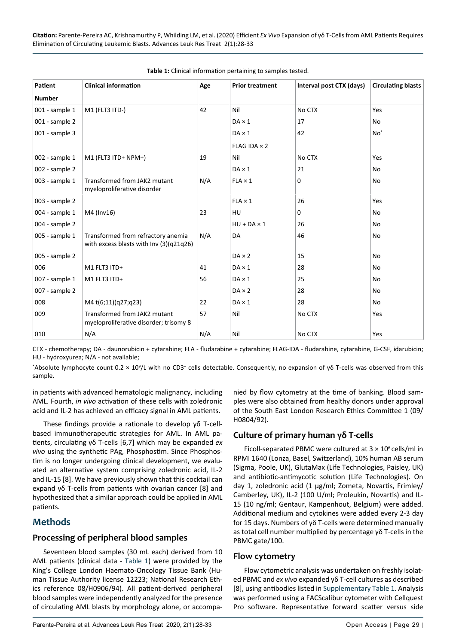| Patient        | <b>Clinical information</b>                                                   | Age | <b>Prior treatment</b> | Interval post CTX (days) | <b>Circulating blasts</b> |
|----------------|-------------------------------------------------------------------------------|-----|------------------------|--------------------------|---------------------------|
| <b>Number</b>  |                                                                               |     |                        |                          |                           |
| 001 - sample 1 | M1 (FLT3 ITD-)                                                                | 42  | Nil                    | No CTX                   | Yes                       |
| 001 - sample 2 |                                                                               |     | $DA \times 1$          | 17                       | No                        |
| 001 - sample 3 |                                                                               |     | $DA \times 1$          | 42                       | $No*$                     |
|                |                                                                               |     | FLAG IDA $\times$ 2    |                          |                           |
| 002 - sample 1 | M1 (FLT3 ITD+ NPM+)                                                           | 19  | Nil                    | No CTX                   | Yes                       |
| 002 - sample 2 |                                                                               |     | $DA \times 1$          | 21                       | No                        |
| 003 - sample 1 | Transformed from JAK2 mutant<br>myeloproliferative disorder                   | N/A | $FLA \times 1$         | 0                        | No                        |
| 003 - sample 2 |                                                                               |     | $FLA \times 1$         | 26                       | Yes                       |
| 004 - sample 1 | M4 (Inv16)                                                                    | 23  | HU                     | $\Omega$                 | No                        |
| 004 - sample 2 |                                                                               |     | $HU + DA \times 1$     | 26                       | No                        |
| 005 - sample 1 | Transformed from refractory anemia<br>with excess blasts with Inv (3)(q21q26) | N/A | <b>DA</b>              | 46                       | No                        |
| 005 - sample 2 |                                                                               |     | $DA \times 2$          | 15                       | No                        |
| 006            | M1 FLT3 ITD+                                                                  | 41  | $DA \times 1$          | 28                       | No                        |
| 007 - sample 1 | M1 FLT3 ITD+                                                                  | 56  | $DA \times 1$          | 25                       | No                        |
| 007 - sample 2 |                                                                               |     | $DA \times 2$          | 28                       | No                        |
| 008            | M4 t(6;11)(q27;q23)                                                           | 22  | $DA \times 1$          | 28                       | No                        |
| 009            | Transformed from JAK2 mutant<br>myeloproliferative disorder; trisomy 8        | 57  | Nil                    | No CTX                   | Yes                       |
| 010            | N/A                                                                           | N/A | Nil                    | No CTX                   | Yes                       |

<span id="page-1-0"></span>

CTX - chemotherapy; DA - daunorubicin + cytarabine; FLA - fludarabine + cytarabine; FLAG-IDA - fludarabine, cytarabine, G-CSF, idarubicin; HU - hydroxyurea; N/A - not available;

\*Absolute lymphocyte count 0.2 × 10<sup>9</sup>/L with no CD3<sup>+</sup> cells detectable. Consequently, no expansion of γδ T-cells was observed from this sample.

in patients with advanced hematologic malignancy, including AML. Fourth, *in vivo* activation of these cells with zoledronic acid and IL-2 has achieved an efficacy signal in AML patients.

These findings provide a rationale to develop γδ T-cellbased immunotherapeutic strategies for AML. In AML patients, circulating γδ T-cells [6,7] which may be expanded *ex vivo* using the synthetic PAg, Phosphostim. Since Phosphostim is no longer undergoing clinical development, we evaluated an alternative system comprising zoledronic acid, IL-2 and IL-15 [8]. We have previously shown that this cocktail can expand γδ T-cells from patients with ovarian cancer [8] and hypothesized that a similar approach could be applied in AML patients.

## **Methods**

#### **Processing of peripheral blood samples**

Seventeen blood samples (30 mL each) derived from 10 AML patients (clinical data - [Table 1\)](#page-1-0) were provided by the King's College London Haemato-Oncology Tissue Bank (Human Tissue Authority license 12223; National Research Ethics reference 08/H0906/94). All patient-derived peripheral blood samples were independently analyzed for the presence of circulating AML blasts by morphology alone, or accompa-

nied by flow cytometry at the time of banking. Blood samples were also obtained from healthy donors under approval of the South East London Research Ethics Committee 1 (09/ H0804/92).

#### **Culture of primary human γδ T-cells**

Ficoll-separated PBMC were cultured at  $3 \times 10^6$  cells/ml in RPMI 1640 (Lonza, Basel, Switzerland), 10% human AB serum (Sigma, Poole, UK), GlutaMax (Life Technologies, Paisley, UK) and antibiotic-antimycotic solution (Life Technologies). On day 1, zoledronic acid (1 µg/ml; Zometa, Novartis, Frimley/ Camberley, UK), IL-2 (100 U/ml; Proleukin, Novartis) and IL-15 (10 ng/ml; Gentaur, Kampenhout, Belgium) were added. Additional medium and cytokines were added every 2-3 day for 15 days. Numbers of γδ T-cells were determined manually as total cell number multiplied by percentage γδ T-cells in the PBMC gate/100.

#### **Flow cytometry**

Flow cytometric analysis was undertaken on freshly isolated PBMC and *ex vivo* expanded γδ T-cell cultures as described [8], using antibodies listed in [Supplementary Table 1](https://scholars.direct/Articles/leukemia-research/alrt-2-006-supply-file.pdf). Analysis was performed using a FACScalibur cytometer with Cellquest Pro software. Representative forward scatter versus side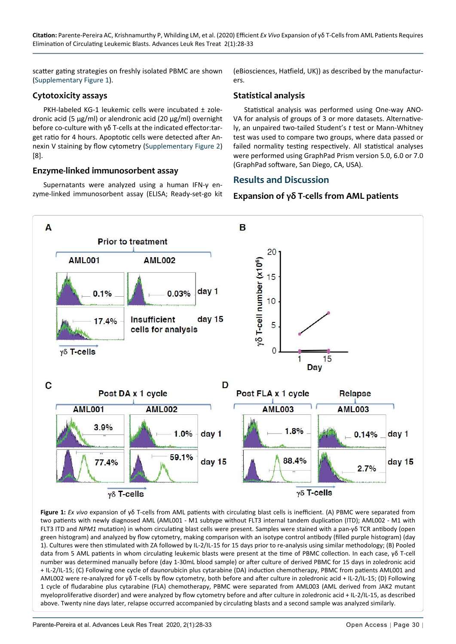scatter gating strategies on freshly isolated PBMC are shown ([Supplementary Figure 1](https://scholars.direct/Articles/leukemia-research/alrt-2-006-supply-file.pdf)).

## **Cytotoxicity assays**

PKH-labeled KG-1 leukemic cells were incubated ± zoledronic acid (5 µg/ml) or alendronic acid (20 µg/ml) overnight before co-culture with γδ T-cells at the indicated effector:target ratio for 4 hours. Apoptotic cells were detected after Annexin V staining by flow cytometry ([Supplementary Figure 2\)](https://scholars.direct/Articles/leukemia-research/alrt-2-006-supply-file.pdf) [8].

#### **Enzyme-linked immunosorbent assay**

Supernatants were analyzed using a human IFN-γ enzyme-linked immunosorbent assay (ELISA; Ready-set-go kit (eBiosciences, Hatfield, UK)) as described by the manufacturers.

#### **Statistical analysis**

Statistical analysis was performed using One-way ANO-VA for analysis of groups of 3 or more datasets. Alternatively, an unpaired two-tailed Student's *t* test or Mann-Whitney test was used to compare two groups, where data passed or failed normality testing respectively. All statistical analyses were performed using GraphPad Prism version 5.0, 6.0 or 7.0 (GraphPad software, San Diego, CA, USA).

#### **Results and Discussion**

#### **Expansion of γδ T-cells from AML patients**

<span id="page-2-0"></span>

**Figure 1:** *Ex vivo* expansion of γδ T-cells from AML patients with circulating blast cells is inefficient. (A) PBMC were separated from two patients with newly diagnosed AML (AML001 - M1 subtype without FLT3 internal tandem duplication (ITD); AML002 - M1 with FLT3 ITD and *NPM1* mutation) in whom circulating blast cells were present. Samples were stained with a pan-γδ TCR antibody (open green histogram) and analyzed by flow cytometry, making comparison with an isotype control antibody (filled purple histogram) (day 1). Cultures were then stimulated with ZA followed by IL-2/IL-15 for 15 days prior to re-analysis using similar methodology; (B) Pooled data from 5 AML patients in whom circulating leukemic blasts were present at the time of PBMC collection. In each case, γδ T-cell number was determined manually before (day 1-30mL blood sample) or after culture of derived PBMC for 15 days in zoledronic acid + IL-2/IL-15; (C) Following one cycle of daunorubicin plus cytarabine (DA) induction chemotherapy, PBMC from patients AML001 and AML002 were re-analyzed for γδ T-cells by flow cytometry, both before and after culture in zoledronic acid + IL-2/IL-15; (D) Following 1 cycle of fludarabine plus cytarabine (FLA) chemotherapy, PBMC were separated from AML003 (AML derived from JAK2 mutant myeloproliferative disorder) and were analyzed by flow cytometry before and after culture in zoledronic acid + IL-2/IL-15, as described above. Twenty nine days later, relapse occurred accompanied by circulating blasts and a second sample was analyzed similarly.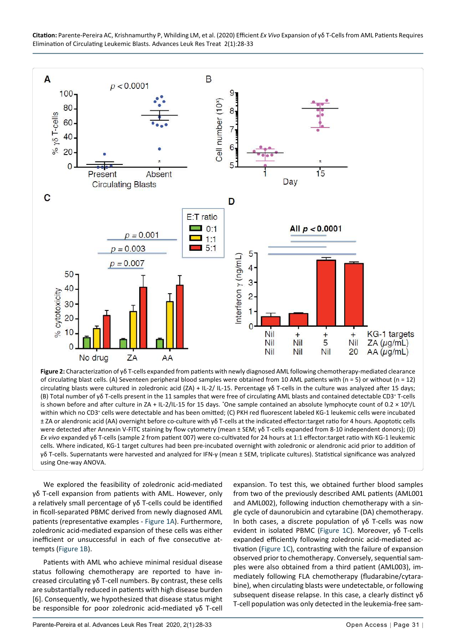**Citation:** Parente-Pereira AC, Krishnamurthy P, Whilding LM, et al. (2020) Efficient *Ex Vivo* Expansion of γδ T-Cells from AML Patients Requires Elimination of Circulating Leukemic Blasts. Advances Leuk Res Treat 2(1):28-33

<span id="page-3-0"></span>

**Figure 2:** Characterization of γδ T-cells expanded from patients with newly diagnosed AML following chemotherapy-mediated clearance of circulating blast cells. (A) Seventeen peripheral blood samples were obtained from 10 AML patients with (n = 5) or without (n = 12) circulating blasts were cultured in zoledronic acid (ZA) + IL-2/ IL-15. Percentage γδ T-cells in the culture was analyzed after 15 days; (B) Total number of γδ T-cells present in the 11 samples that were free of circulating AML blasts and contained detectable CD3+ T-cells is shown before and after culture in ZA + IL-2/IL-15 for 15 days. \*One sample contained an absolute lymphocyte count of 0.2  $\times$  10<sup>9</sup>/L within which no CD3<sup>+</sup> cells were detectable and has been omitted; (C) PKH red fluorescent labeled KG-1 leukemic cells were incubated ± ZA or alendronic acid (AA) overnight before co-culture with γδ T-cells at the indicated effector:target ratio for 4 hours. Apoptotic cells were detected after Annexin V-FITC staining by flow cytometry (mean ± SEM; γδ T-cells expanded from 8-10 independent donors); (D) *Ex vivo* expanded γδ T-cells (sample 2 from patient 007) were co-cultivated for 24 hours at 1:1 effector:target ratio with KG-1 leukemic cells. Where indicated, KG-1 target cultures had been pre-incubated overnight with zoledronic or alendronic acid prior to addition of γδ T-cells. Supernatants were harvested and analyzed for IFN-γ (mean ± SEM, triplicate cultures). Statistical significance was analyzed using One-way ANOVA.

We explored the feasibility of zoledronic acid-mediated γδ T-cell expansion from patients with AML. However, only a relatively small percentage of γδ T-cells could be identified in ficoll-separated PBMC derived from newly diagnosed AML patients (representative examples - [Figure 1A\)](#page-2-0). Furthermore, zoledronic acid-mediated expansion of these cells was either inefficient or unsuccessful in each of five consecutive attempts ([Figure 1B\)](#page-2-0).

Patients with AML who achieve minimal residual disease status following chemotherapy are reported to have increased circulating γδ T-cell numbers. By contrast, these cells are substantially reduced in patients with high disease burden [6]. Consequently, we hypothesized that disease status might be responsible for poor zoledronic acid-mediated γδ T-cell

expansion. To test this, we obtained further blood samples from two of the previously described AML patients (AML001 and AML002), following induction chemotherapy with a single cycle of daunorubicin and cytarabine (DA) chemotherapy. In both cases, a discrete population of γδ T-cells was now evident in isolated PBMC ([Figure 1C](#page-2-0)). Moreover, γδ T-cells expanded efficiently following zoledronic acid-mediated activation [\(Figure 1C](#page-2-0)), contrasting with the failure of expansion observed prior to chemotherapy. Conversely, sequential samples were also obtained from a third patient (AML003), immediately following FLA chemotherapy (fludarabine/cytarabine), when circulating blasts were undetectable, or following subsequent disease relapse. In this case, a clearly distinct γδ T-cell population was only detected in the leukemia-free sam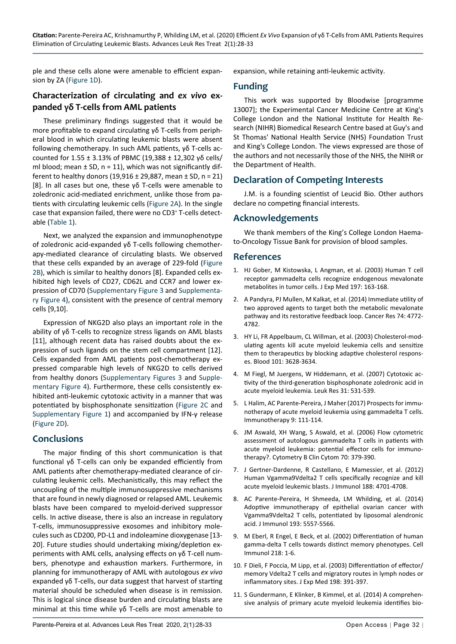ple and these cells alone were amenable to efficient expansion by ZA [\(Figure 1D](#page-2-0)).

#### **Characterization of circulating and** *ex vivo* **expanded γδ T-cells from AML patients**

These preliminary findings suggested that it would be more profitable to expand circulating γδ T-cells from peripheral blood in which circulating leukemic blasts were absent following chemotherapy. In such AML patients, γδ T-cells accounted for 1.55 ± 3.13% of PBMC (19,388 ± 12,302 γδ cells/ ml blood; mean  $\pm$  SD, n = 11), which was not significantly different to healthy donors (19,916  $\pm$  29,887, mean  $\pm$  SD, n = 21) [8]. In all cases but one, these γδ T-cells were amenable to zoledronic acid-mediated enrichment, unlike those from patients with circulating leukemic cells ([Figure 2A](#page-3-0)). In the single case that expansion failed, there were no CD3+ T-cells detectable [\(Table 1\)](#page-1-0).

Next, we analyzed the expansion and immunophenotype of zoledronic acid-expanded γδ T-cells following chemotherapy-mediated clearance of circulating blasts. We observed that these cells expanded by an average of 229-fold [\(Figure](#page-3-0)  [2B](#page-3-0)), which is similar to healthy donors [8]. Expanded cells exhibited high levels of CD27, CD62L and CCR7 and lower expression of CD70 ([Supplementary Figure 3](https://scholars.direct/Articles/leukemia-research/alrt-2-006-supply-file.pdf) and [Supplementa](https://scholars.direct/Articles/leukemia-research/alrt-2-006-supply-file.pdf)[ry Figure 4\)](https://scholars.direct/Articles/leukemia-research/alrt-2-006-supply-file.pdf), consistent with the presence of central memory cells [9,10].

Expression of NKG2D also plays an important role in the ability of γδ T-cells to recognize stress ligands on AML blasts [11], although recent data has raised doubts about the expression of such ligands on the stem cell compartment [12]. Cells expanded from AML patients post-chemotherapy expressed comparable high levels of NKG2D to cells derived from healthy donors ([Supplementary Figures 3](https://scholars.direct/Articles/leukemia-research/alrt-2-006-supply-file.pdf) and [Supple](https://scholars.direct/Articles/leukemia-research/alrt-2-006-supply-file.pdf)[mentary Figure 4\)](https://scholars.direct/Articles/leukemia-research/alrt-2-006-supply-file.pdf). Furthermore, these cells consistently exhibited anti-leukemic cytotoxic activity in a manner that was potentiated by bisphosphonate sensitization ([Figure 2C](#page-3-0) and [Supplementary Figure 1](https://scholars.direct/Articles/leukemia-research/alrt-2-006-supply-file.pdf)) and accompanied by IFN-γ release ([Figure 2D](#page-3-0)).

## **Conclusions**

The major finding of this short communication is that functional γδ T-cells can only be expanded efficiently from AML patients after chemotherapy-mediated clearance of circulating leukemic cells. Mechanistically, this may reflect the uncoupling of the multiple immunosuppressive mechanisms that are found in newly diagnosed or relapsed AML. Leukemic blasts have been compared to myeloid-derived suppressor cells. In active disease, there is also an increase in regulatory T-cells, immunosuppressive exosomes and inhibitory molecules such as CD200, PD-L1 and indoleamine dioxygenase [13- 20]. Future studies should undertaking mixing/depletion experiments with AML cells, analysing effects on γδ T-cell numbers, phenotype and exhaustion markers. Furthermore, in planning for immunotherapy of AML with autologous *ex vivo* expanded γδ T-cells, our data suggest that harvest of starting material should be scheduled when disease is in remission. This is logical since disease burden and circulating blasts are minimal at this time while γδ T-cells are most amenable to expansion, while retaining anti-leukemic activity.

## **Funding**

This work was supported by Bloodwise [programme 13007]; the Experimental Cancer Medicine Centre at King's College London and the National Institute for Health Research (NIHR) Biomedical Research Centre based at Guy's and St Thomas' National Health Service (NHS) Foundation Trust and King's College London. The views expressed are those of the authors and not necessarily those of the NHS, the NIHR or the Department of Health.

#### **Declaration of Competing Interests**

J.M. is a founding scientist of Leucid Bio. Other authors declare no competing financial interests.

#### **Acknowledgements**

We thank members of the King's College London Haemato-Oncology Tissue Bank for provision of blood samples.

#### **References**

- 1. [HJ Gober, M Kistowska, L Angman, et al. \(2003\) Human T cell](https://www.ncbi.nlm.nih.gov/pmc/articles/PMC2193814/)  [receptor gammadelta cells recognize endogenous mevalonate](https://www.ncbi.nlm.nih.gov/pmc/articles/PMC2193814/)  [metabolites in tumor cells. J Exp Med 197: 163-168.](https://www.ncbi.nlm.nih.gov/pmc/articles/PMC2193814/)
- 2. A Pandyra, PJ Mullen, M Kalkat, et al. (2014) Immediate utility of two approved agents to target both the metabolic mevalonate pathway and its restorative feedback loop. Cancer Res 74: 4772- 4782.
- 3. [HY Li, FR Appelbaum, CL Willman, et al. \(2003\) Cholesterol-mod](https://pubmed.ncbi.nlm.nih.gov/12506040/)[ulating agents kill acute myeloid leukemia cells and sensitize](https://pubmed.ncbi.nlm.nih.gov/12506040/)  [them to therapeutics by blocking adaptive cholesterol respons](https://pubmed.ncbi.nlm.nih.gov/12506040/)[es. Blood 101: 3628-3634.](https://pubmed.ncbi.nlm.nih.gov/12506040/)
- 4. [M Fiegl, M Juergens, W Hiddemann, et al. \(2007\) Cytotoxic ac](https://pubmed.ncbi.nlm.nih.gov/16939689/)[tivity of the third-generation bisphosphonate zoledronic acid in](https://pubmed.ncbi.nlm.nih.gov/16939689/)  [acute myeloid leukemia. Leuk Res 31: 531-539.](https://pubmed.ncbi.nlm.nih.gov/16939689/)
- 5. L Halim, AC Parente-Pereira, J Maher (2017) Prospects for immunotherapy of acute myeloid leukemia using gammadelta T cells. Immunotherapy 9: 111-114.
- 6. [JM Aswald, XH Wang, S Aswald, et al. \(2006\) Flow cytometric](https://pubmed.ncbi.nlm.nih.gov/16977635/)  [assessment of autologous gammadelta T cells in patients with](https://pubmed.ncbi.nlm.nih.gov/16977635/)  [acute myeloid leukemia: potential effector cells for immuno](https://pubmed.ncbi.nlm.nih.gov/16977635/)[therapy?. Cytometry B Clin Cytom 70: 379-390.](https://pubmed.ncbi.nlm.nih.gov/16977635/)
- 7. [J Gertner-Dardenne, R Castellano, E Mamessier, et al. \(2012\)](https://pubmed.ncbi.nlm.nih.gov/22467661/)  [Human Vgamma9Vdelta2 T cells specifically recognize and kill](https://pubmed.ncbi.nlm.nih.gov/22467661/)  [acute myeloid leukemic blasts. J Immunol 188: 4701-4708.](https://pubmed.ncbi.nlm.nih.gov/22467661/)
- 8. [AC Parente-Pereira, H Shmeeda, LM Whilding, et al. \(2014\)](https://pubmed.ncbi.nlm.nih.gov/25339667/)  [Adoptive immunotherapy of epithelial ovarian cancer with](https://pubmed.ncbi.nlm.nih.gov/25339667/)  [Vgamma9Vdelta2 T cells, potentiated by liposomal alendronic](https://pubmed.ncbi.nlm.nih.gov/25339667/)  [acid. J Immunol 193: 5557-5566.](https://pubmed.ncbi.nlm.nih.gov/25339667/)
- 9. [M Eberl, R Engel, E Beck, et al. \(2002\) Differentiation of human](https://pubmed.ncbi.nlm.nih.gov/12470608/)  [gamma-delta T cells towards distinct memory phenotypes. Cell](https://pubmed.ncbi.nlm.nih.gov/12470608/)  [Immunol 218: 1-6.](https://pubmed.ncbi.nlm.nih.gov/12470608/)
- 10. [F Dieli, F Poccia, M Lipp, et al. \(2003\) Differentiation of effector/](https://pubmed.ncbi.nlm.nih.gov/12900516/) [memory Vdelta2 T cells and migratory routes in lymph nodes or](https://pubmed.ncbi.nlm.nih.gov/12900516/)  [inflammatory sites. J Exp Med 198: 391-397.](https://pubmed.ncbi.nlm.nih.gov/12900516/)
- 11. S Gundermann, E Klinker, B Kimmel, et al. (2014) A comprehensive analysis of primary acute myeloid leukemia identifies bio-